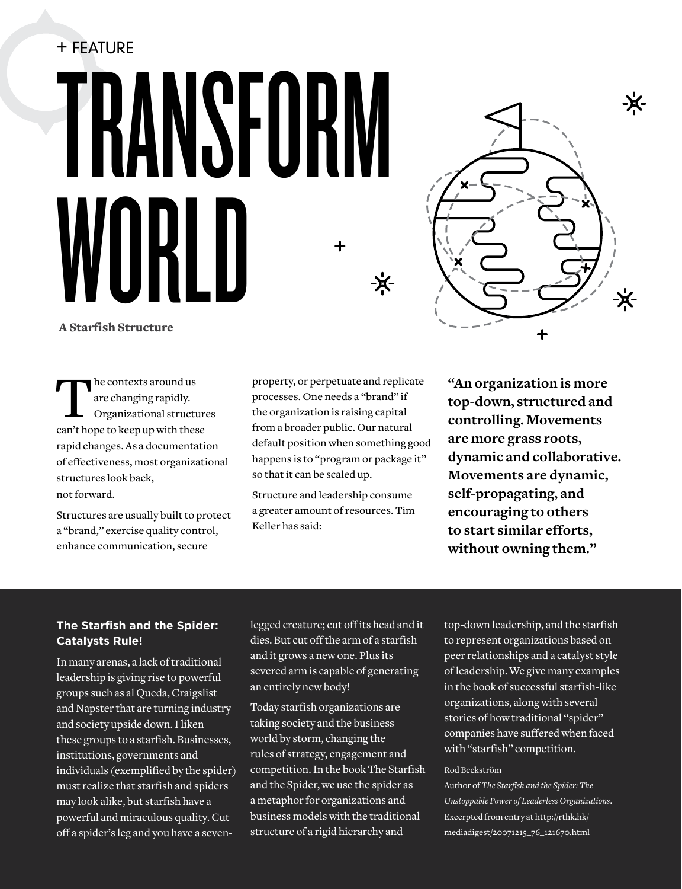# + Feature **TRANSFURM** WIIKI II -兴-



A Starfish Structure

the contexts around us are changing rapidly. Organizational structures can't hope to keep up with these rapid changes. As a documentation of effectiveness, most organizational structures look back, not forward.

Structures are usually built to protect a "brand," exercise quality control, enhance communication, secure

property, or perpetuate and replicate processes. One needs a "brand" if the organization is raising capital from a broader public. Our natural default position when something good happens is to "program or package it" so that it can be scaled up.

Structure and leadership consume a greater amount of resources. Tim Keller has said:

**"An organization is more top-down, structured and controlling. Movements are more grass roots, dynamic and collaborative. Movements are dynamic, self-propagating, and encouraging to others to start similar efforts, without owning them."**

## **The Starfish and the Spider: Catalysts Rule!**

In many arenas, a lack of traditional leadership is giving rise to powerful groups such as al Queda, Craigslist and Napster that are turning industry and society upside down. I liken these groups to a starfish. Businesses, institutions, governments and individuals (exemplified by the spider) must realize that starfish and spiders may look alike, but starfish have a powerful and miraculous quality. Cut off a spider's leg and you have a sevenlegged creature; cut off its head and it dies. But cut off the arm of a starfish and it grows a new one. Plus its severed arm is capable of generating an entirely new body!

Today starfish organizations are taking society and the business world by storm, changing the rules of strategy, engagement and competition. In the book The Starfish and the Spider, we use the spider as a metaphor for organizations and business models with the traditional structure of a rigid hierarchy and

top-down leadership, and the starfish to represent organizations based on peer relationships and a catalyst style of leadership. We give many examples in the book of successful starfish-like organizations, along with several stories of how traditional "spider" companies have suffered when faced with "starfish" competition.

#### Rod Beckström

Author of *The Starfish and the Spider: The Unstoppable Power of Leaderless Organizations*. Excerpted from entry at http://rthk.hk/ mediadigest/20071215\_76\_121670.html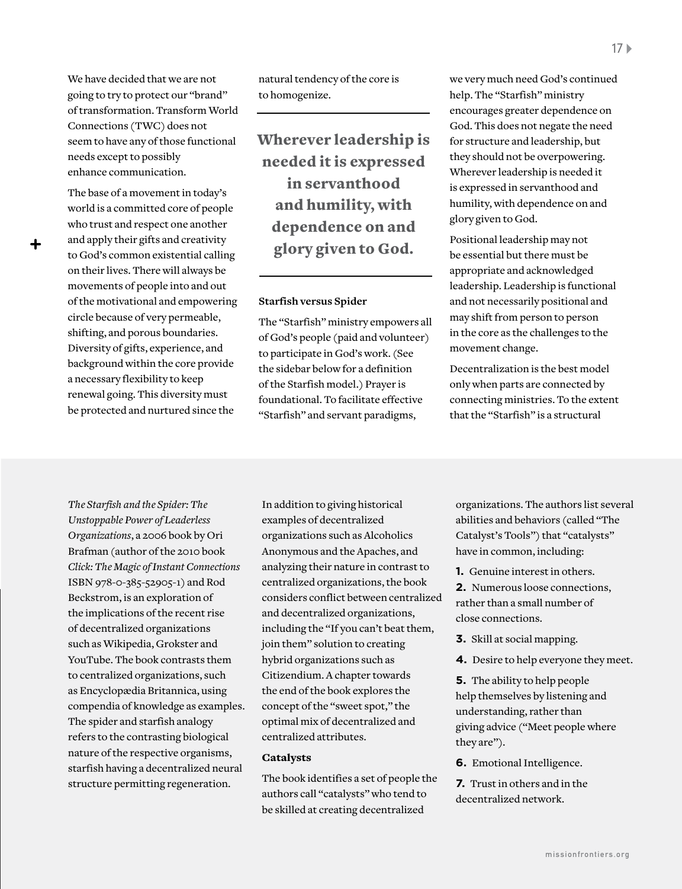We have decided that we are not going to try to protect our "brand" of transformation. Transform World Connections (TWC) does not seem to have any of those functional needs except to possibly enhance communication.

The base of a movement in today's world is a committed core of people who trust and respect one another and apply their gifts and creativity to God's common existential calling on their lives. There will always be movements of people into and out of the motivational and empowering circle because of very permeable, shifting, and porous boundaries. Diversity of gifts, experience, and background within the core provide a necessary flexibility to keep renewal going. This diversity must be protected and nurtured since the

natural tendency of the core is to homogenize.

Wherever leadership is needed it is expressed in servanthood and humility, with dependence on and glory given to God.

#### **Starfish versus Spider**

The "Starfish" ministry empowers all of God's people (paid and volunteer) to participate in God's work. (See the sidebar below for a definition of the Starfish model.) Prayer is foundational. To facilitate effective "Starfish" and servant paradigms,

we very much need God's continued help. The "Starfish" ministry encourages greater dependence on God. This does not negate the need for structure and leadership, but they should not be overpowering. Wherever leadership is needed it is expressed in servanthood and humility, with dependence on and glory given to God.

Positional leadership may not be essential but there must be appropriate and acknowledged leadership. Leadership is functional and not necessarily positional and may shift from person to person in the core as the challenges to the movement change.

Decentralization is the best model only when parts are connected by connecting ministries. To the extent that the "Starfish" is a structural

*The Starfish and the Spider: The Unstoppable Power of Leaderless Organizations*, a 2006 book by Ori Brafman (author of the 2010 book *Click: The Magic of Instant Connections* ISBN 978-0-385-52905-1) and Rod Beckstrom, is an exploration of the implications of the recent rise of decentralized organizations such as Wikipedia, Grokster and YouTube. The book contrasts them to centralized organizations, such as Encyclopædia Britannica, using compendia of knowledge as examples. The spider and starfish analogy refers to the contrasting biological nature of the respective organisms, starfish having a decentralized neural structure permitting regeneration.

In addition to giving historical examples of decentralized organizations such as Alcoholics Anonymous and the Apaches, and analyzing their nature in contrast to centralized organizations, the book considers conflict between centralized and decentralized organizations, including the "If you can't beat them, join them" solution to creating hybrid organizations such as Citizendium. A chapter towards the end of the book explores the concept of the "sweet spot," the optimal mix of decentralized and centralized attributes.

### Catalysts

The book identifies a set of people the authors call "catalysts" who tend to be skilled at creating decentralized

organizations. The authors list several abilities and behaviors (called "The Catalyst's Tools") that "catalysts" have in common, including:

**1.** Genuine interest in others.

**2.** Numerous loose connections, rather than a small number of close connections.

- **3.** Skill at social mapping.
- **4.** Desire to help everyone they meet.

**5.** The ability to help people help themselves by listening and understanding, rather than giving advice ("Meet people where they are").

**6.** Emotional Intelligence.

**7.** Trust in others and in the decentralized network.